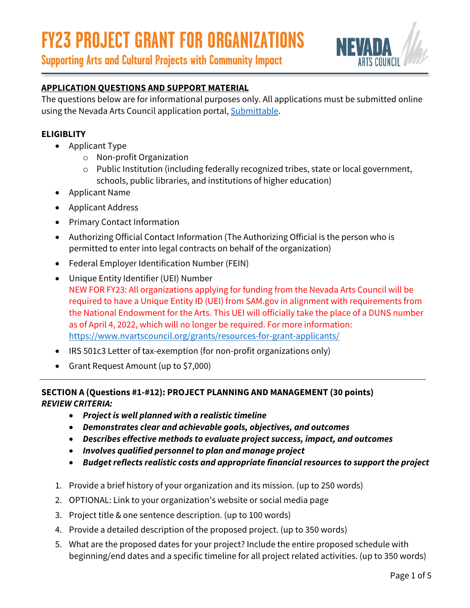

**Supporting Arts and Cultural Projects with Community Impact**

### **APPLICATION QUESTIONS AND SUPPORT MATERIAL**

The questions below are for informational purposes only. All applications must be submitted online using the Nevada Arts Council application portal, [Submittable.](https://nevadaartscouncil.submittable.com/submit)

#### **ELIGIBLITY**

- Applicant Type
	- o Non-profit Organization
	- o Public Institution (including federally recognized tribes, state or local government, schools, public libraries, and institutions of higher education)
- Applicant Name
- Applicant Address
- Primary Contact Information
- Authorizing Official Contact Information (The Authorizing Official is the person who is permitted to enter into legal contracts on behalf of the organization)
- Federal Employer Identification Number (FEIN)
- Unique Entity Identifier (UEI) Number NEW FOR FY23: All organizations applying for funding from the Nevada Arts Council will be required to have a Unique Entity ID (UEI) from SAM.gov in alignment with requirements from the National Endowment for the Arts. This UEI will officially take the place of a DUNS number as of April 4, 2022, which will no longer be required. For more information: <https://www.nvartscouncil.org/grants/resources-for-grant-applicants/>
- IRS 501c3 Letter of tax-exemption (for non-profit organizations only)
- Grant Request Amount (up to \$7,000)

#### **SECTION A (Questions #1-#12): PROJECT PLANNING AND MANAGEMENT (30 points)** *REVIEW CRITERIA:*

- *Project is well planned with a realistic timeline*
- *Demonstrates clear and achievable goals, objectives, and outcomes*
- *Describes effective methods to evaluate project success, impact, and outcomes*
- *Involves qualified personnel to plan and manage project*
- *Budget reflects realistic costs and appropriate financial resources to support the project*
- 1. Provide a brief history of your organization and its mission. (up to 250 words)
- 2. OPTIONAL: Link to your organization's website or social media page
- 3. Project title & one sentence description. (up to 100 words)
- 4. Provide a detailed description of the proposed project. (up to 350 words)
- 5. What are the proposed dates for your project? Include the entire proposed schedule with beginning/end dates and a specific timeline for all project related activities. (up to 350 words)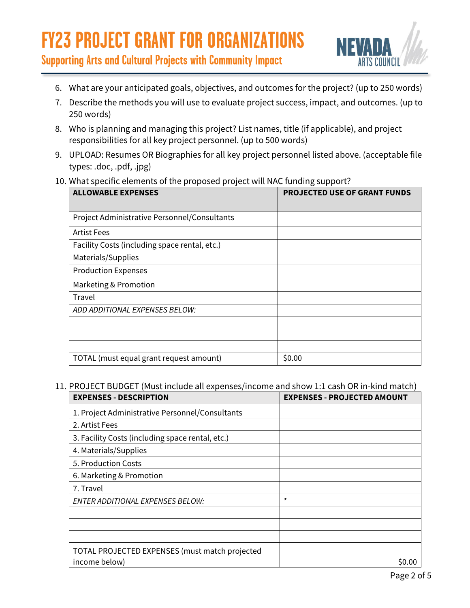

**Supporting Arts and Cultural Projects with Community Impact**

- 6. What are your anticipated goals, objectives, and outcomes for the project? (up to 250 words)
- 7. Describe the methods you will use to evaluate project success, impact, and outcomes. (up to 250 words)
- 8. Who is planning and managing this project? List names, title (if applicable), and project responsibilities for all key project personnel. (up to 500 words)
- 9. UPLOAD: Resumes OR Biographies for all key project personnel listed above. (acceptable file types: .doc, .pdf, .jpg)
- 10. What specific elements of the proposed project will NAC funding support?

| <b>ALLOWABLE EXPENSES</b>                     | <b>PROJECTED USE OF GRANT FUNDS</b> |
|-----------------------------------------------|-------------------------------------|
| Project Administrative Personnel/Consultants  |                                     |
| <b>Artist Fees</b>                            |                                     |
| Facility Costs (including space rental, etc.) |                                     |
| Materials/Supplies                            |                                     |
| <b>Production Expenses</b>                    |                                     |
| Marketing & Promotion                         |                                     |
| Travel                                        |                                     |
| ADD ADDITIONAL EXPENSES BELOW:                |                                     |
|                                               |                                     |
|                                               |                                     |
|                                               |                                     |
| TOTAL (must equal grant request amount)       | \$0.00                              |

#### 11. PROJECT BUDGET (Must include all expenses/income and show 1:1 cash OR in-kind match)

| <b>EXPENSES - DESCRIPTION</b>                    | <b>EXPENSES - PROJECTED AMOUNT</b> |
|--------------------------------------------------|------------------------------------|
| 1. Project Administrative Personnel/Consultants  |                                    |
| 2. Artist Fees                                   |                                    |
| 3. Facility Costs (including space rental, etc.) |                                    |
| 4. Materials/Supplies                            |                                    |
| 5. Production Costs                              |                                    |
| 6. Marketing & Promotion                         |                                    |
| 7. Travel                                        |                                    |
| <b>ENTER ADDITIONAL EXPENSES BELOW:</b>          | $\star$                            |
|                                                  |                                    |
|                                                  |                                    |
|                                                  |                                    |
| TOTAL PROJECTED EXPENSES (must match projected   |                                    |
| income below)                                    | S0.00                              |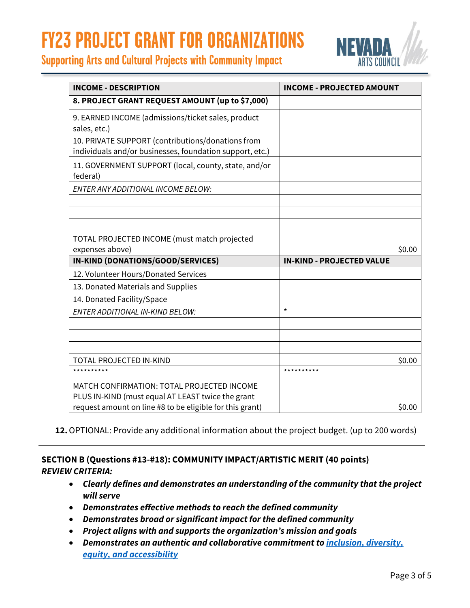



| <b>INCOME - DESCRIPTION</b>                                                                                   | <b>INCOME - PROJECTED AMOUNT</b> |
|---------------------------------------------------------------------------------------------------------------|----------------------------------|
| 8. PROJECT GRANT REQUEST AMOUNT (up to \$7,000)                                                               |                                  |
| 9. EARNED INCOME (admissions/ticket sales, product<br>sales, etc.)                                            |                                  |
| 10. PRIVATE SUPPORT (contributions/donations from<br>individuals and/or businesses, foundation support, etc.) |                                  |
| 11. GOVERNMENT SUPPORT (local, county, state, and/or<br>federal)                                              |                                  |
| ENTER ANY ADDITIONAL INCOME BELOW:                                                                            |                                  |
|                                                                                                               |                                  |
| TOTAL PROJECTED INCOME (must match projected<br>expenses above)                                               | \$0.00                           |
| IN-KIND (DONATIONS/GOOD/SERVICES)                                                                             | <b>IN-KIND - PROJECTED VALUE</b> |
| 12. Volunteer Hours/Donated Services                                                                          |                                  |
| 13. Donated Materials and Supplies                                                                            |                                  |
| 14. Donated Facility/Space                                                                                    |                                  |
| <b>ENTER ADDITIONAL IN-KIND BELOW:</b>                                                                        | $\star$                          |
|                                                                                                               |                                  |
| <b>TOTAL PROJECTED IN-KIND</b>                                                                                | \$0.00                           |
| **********                                                                                                    | **********                       |
| MATCH CONFIRMATION: TOTAL PROJECTED INCOME                                                                    |                                  |
| PLUS IN-KIND (must equal AT LEAST twice the grant<br>request amount on line #8 to be eligible for this grant) | \$0.00                           |

**12.**OPTIONAL: Provide any additional information about the project budget. (up to 200 words)

#### **SECTION B (Questions #13-#18): COMMUNITY IMPACT/ARTISTIC MERIT (40 points)** *REVIEW CRITERIA:*

- *Clearly defines and demonstrates an understanding of the community that the project will serve*
- *Demonstrates effective methods to reach the defined community*
- *Demonstrates broad or significant impact for the defined community*
- *Project aligns with and supports the organization's mission and goals*
- *Demonstrates an authentic and collaborative commitment to [inclusion, diversity,](https://www.nvartscouncil.org/programs/community-arts-development/ideas/)  [equity, and accessibility](https://www.nvartscouncil.org/programs/community-arts-development/ideas/)*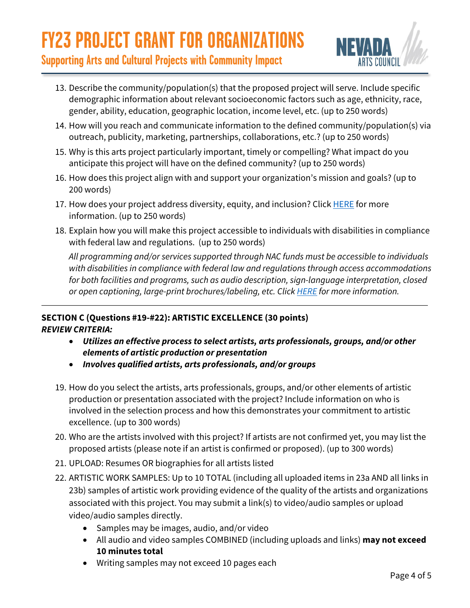

**Supporting Arts and Cultural Projects with Community Impact**

- 13. Describe the community/population(s) that the proposed project will serve. Include specific demographic information about relevant socioeconomic factors such as age, ethnicity, race, gender, ability, education, geographic location, income level, etc. (up to 250 words)
- 14. How will you reach and communicate information to the defined community/population(s) via outreach, publicity, marketing, partnerships, collaborations, etc.? (up to 250 words)
- 15. Why is this arts project particularly important, timely or compelling? What impact do you anticipate this project will have on the defined community? (up to 250 words)
- 16. How does this project align with and support your organization's mission and goals? (up to 200 words)
- 17. How does your project address diversity, equity, and inclusion? Click [HERE](https://www.nvartscouncil.org/programs/community-arts-development/ideas/) for more information. (up to 250 words)
- 18. Explain how you will make this project accessible to individuals with disabilities in compliance with federal law and regulations. (up to 250 words)

*All programming and/or services supported through NAC funds must be accessible to individuals with disabilities in compliance with federal law and regulations through access accommodations for both facilities and programs, such as audio description, sign-language interpretation, closed or open captioning, large-print brochures/labeling, etc. Click [HERE](https://www.nvartscouncil.org/resources/accessibility-matters/) for more information.*

#### **SECTION C (Questions #19-#22): ARTISTIC EXCELLENCE (30 points)** *REVIEW CRITERIA:*

- *Utilizes an effective process to select artists, arts professionals, groups, and/or other elements of artistic production or presentation*
- *Involves qualified artists, arts professionals, and/or groups*
- 19. How do you select the artists, arts professionals, groups, and/or other elements of artistic production or presentation associated with the project? Include information on who is involved in the selection process and how this demonstrates your commitment to artistic excellence. (up to 300 words)
- 20. Who are the artists involved with this project? If artists are not confirmed yet, you may list the proposed artists (please note if an artist is confirmed or proposed). (up to 300 words)
- 21. UPLOAD: Resumes OR biographies for all artists listed
- 22. ARTISTIC WORK SAMPLES: Up to 10 TOTAL (including all uploaded items in 23a AND all links in 23b) samples of artistic work providing evidence of the quality of the artists and organizations associated with this project. You may submit a link(s) to video/audio samples or upload video/audio samples directly.
	- Samples may be images, audio, and/or video
	- All audio and video samples COMBINED (including uploads and links) **may not exceed 10 minutes total**
	- Writing samples may not exceed 10 pages each